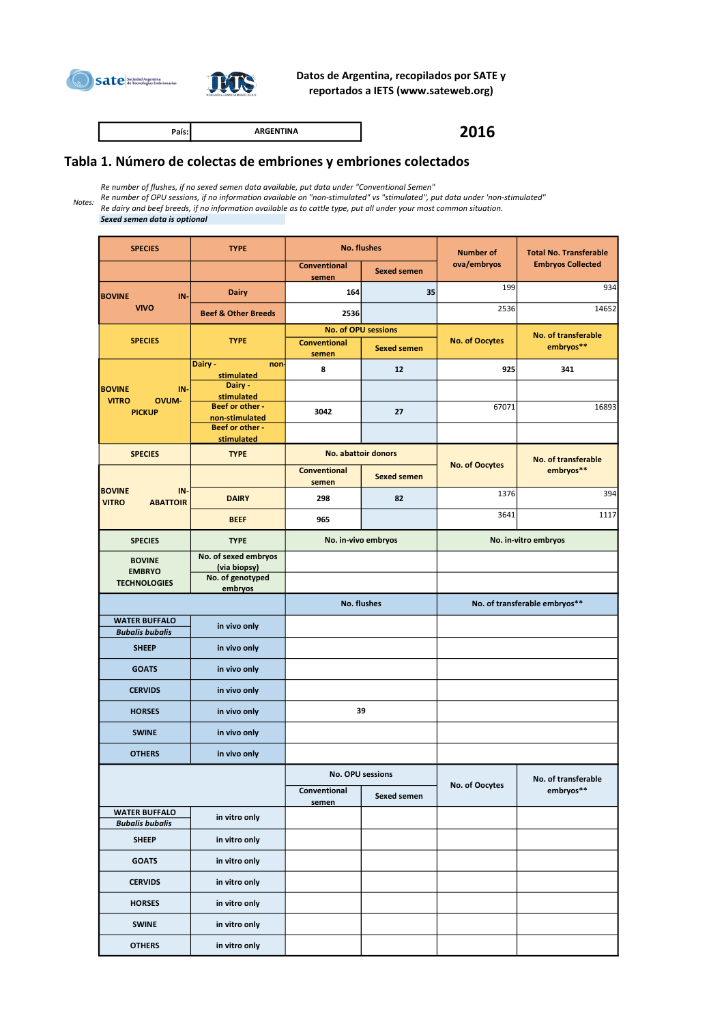



Datos de Argentina, recopilados por SATE y reportados a IETS (www.sateweb.org)

País: 2016 ARGENTINA

## Tabla 1. Número de colectas de embriones y embriones colectados

Re number of flushes, if no sexed semen data available, put data under "Conventional Semen"

Re number of OPU sessions, if no information available on "non-stimulated" vs "stimulated", put data under 'non-stimulated" Notes:

Re dairy and beef breeds, if no information available as to cattle type, put all under your most common situation.

Sexed semen data is optional

| <b>SPECIES</b>                                                 | <b>TYPE</b>                          | <b>No. flushes</b><br><b>Conventional</b><br><b>Sexed semen</b><br>semen |                    | <b>Number of</b>              | <b>Total No. Transferable</b><br><b>Embryos Collected</b> |  |
|----------------------------------------------------------------|--------------------------------------|--------------------------------------------------------------------------|--------------------|-------------------------------|-----------------------------------------------------------|--|
|                                                                |                                      |                                                                          |                    | ova/embryos                   |                                                           |  |
| <b>BOVINE</b><br>IN-                                           | <b>Dairy</b>                         | 164                                                                      | 35                 | 199                           | 934                                                       |  |
| <b>VIVO</b>                                                    | <b>Beef &amp; Other Breeds</b>       | 2536                                                                     |                    | 2536                          | 14652                                                     |  |
|                                                                |                                      | <b>No. of OPU sessions</b>                                               |                    |                               | <b>No. of transferable</b><br>embryos**                   |  |
| <b>SPECIES</b>                                                 | <b>TYPE</b>                          | <b>Conventional</b><br>semen                                             | <b>Sexed semen</b> | <b>No. of Oocytes</b>         |                                                           |  |
|                                                                | Dairy -<br>non<br>stimulated         | 8                                                                        | 12                 | 925                           | 341                                                       |  |
| <b>BOVINE</b><br>IN-<br><b>VITRO</b><br>OVUM-<br><b>PICKUP</b> | Dairy -                              |                                                                          |                    |                               |                                                           |  |
|                                                                | stimulated<br><b>Beef or other -</b> | 3042<br>27                                                               |                    | 67071                         | 16893                                                     |  |
|                                                                | non-stimulated<br>Beef or other -    |                                                                          |                    |                               |                                                           |  |
|                                                                | stimulated                           |                                                                          |                    |                               |                                                           |  |
| <b>SPECIES</b>                                                 | <b>TYPE</b>                          | No. abattoir donors                                                      |                    | <b>No. of Oocytes</b>         | No. of transferable<br>embryos**                          |  |
|                                                                |                                      | <b>Conventional</b><br>semen                                             | <b>Sexed semen</b> |                               |                                                           |  |
| <b>BOVINE</b><br>IN-<br><b>VITRO</b><br><b>ABATTOIR</b>        | <b>DAIRY</b>                         | 298                                                                      | 82                 | 1376                          | 394                                                       |  |
|                                                                | <b>BEEF</b>                          | 965                                                                      |                    | 3641                          | 1117                                                      |  |
| <b>SPECIES</b>                                                 | <b>TYPE</b>                          | No. in-vivo embryos                                                      |                    | No. in-vitro embryos          |                                                           |  |
| <b>BOVINE</b>                                                  | No. of sexed embryos<br>(via biopsy) |                                                                          |                    |                               |                                                           |  |
| <b>EMBRYO</b><br><b>TECHNOLOGIES</b>                           | No. of genotyped                     |                                                                          |                    |                               |                                                           |  |
| embryos                                                        |                                      |                                                                          |                    |                               |                                                           |  |
|                                                                |                                      | No. flushes                                                              |                    | No. of transferable embryos** |                                                           |  |
| <b>WATER BUFFALO</b><br><b>Bubalis bubalis</b>                 | in vivo only                         |                                                                          |                    |                               |                                                           |  |
| <b>SHEEP</b>                                                   | in vivo only                         |                                                                          |                    |                               |                                                           |  |
| <b>GOATS</b>                                                   | in vivo only                         |                                                                          |                    |                               |                                                           |  |
| <b>CERVIDS</b>                                                 | in vivo only                         |                                                                          |                    |                               |                                                           |  |
| <b>HORSES</b>                                                  | in vivo only                         | 39                                                                       |                    |                               |                                                           |  |
| <b>SWINE</b>                                                   | in vivo only                         |                                                                          |                    |                               |                                                           |  |
| <b>OTHERS</b>                                                  | in vivo only                         |                                                                          |                    |                               |                                                           |  |
|                                                                |                                      | <b>No. OPU sessions</b>                                                  |                    | No. of Oocytes                | No. of transferable                                       |  |
|                                                                |                                      | Conventional<br>semen                                                    | <b>Sexed semen</b> |                               | embryos**                                                 |  |
| <b>WATER BUFFALO</b><br><b>Bubalis bubalis</b>                 | in vitro only                        |                                                                          |                    |                               |                                                           |  |
| <b>SHEEP</b>                                                   | in vitro only                        |                                                                          |                    |                               |                                                           |  |
| <b>GOATS</b>                                                   | in vitro only                        |                                                                          |                    |                               |                                                           |  |
| <b>CERVIDS</b>                                                 | in vitro only                        |                                                                          |                    |                               |                                                           |  |
| <b>HORSES</b>                                                  | in vitro only                        |                                                                          |                    |                               |                                                           |  |
| <b>SWINE</b>                                                   | in vitro only                        |                                                                          |                    |                               |                                                           |  |
| <b>OTHERS</b>                                                  | in vitro only                        |                                                                          |                    |                               |                                                           |  |